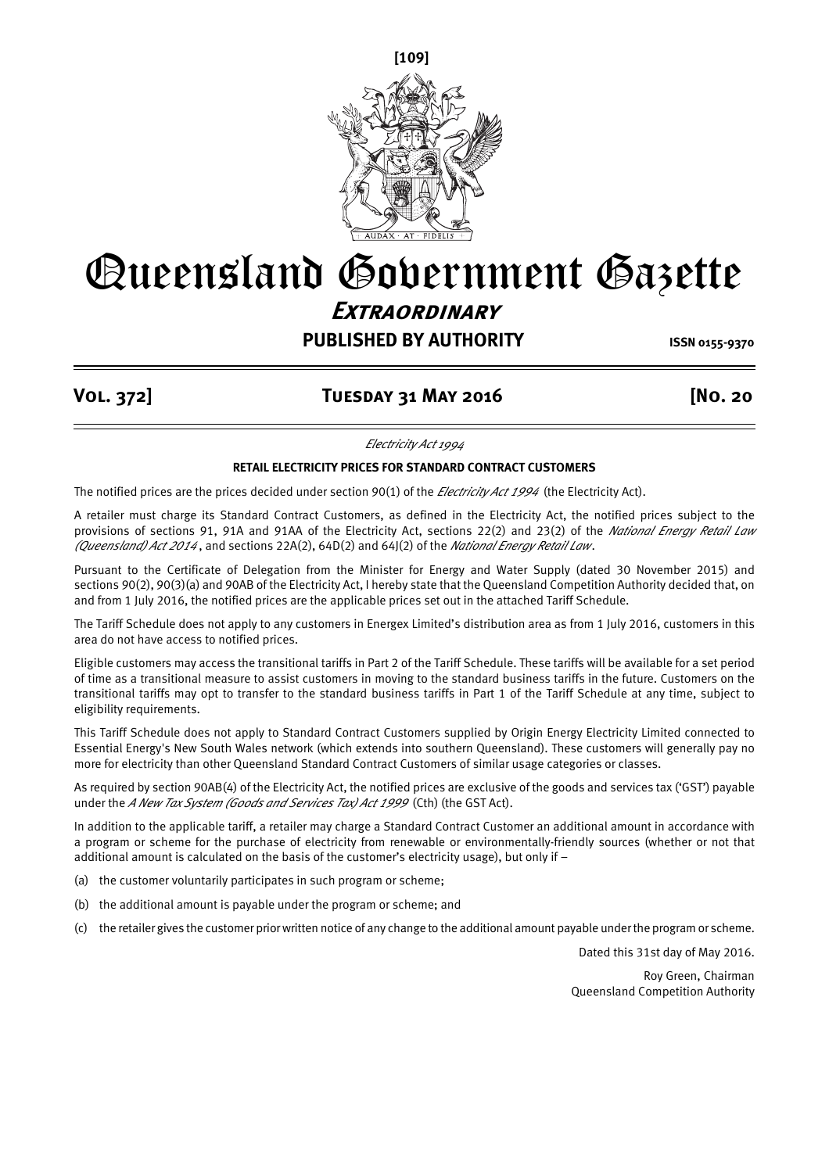

# Queensland Government Gazette **Extraordinary**

# **PUBLISHED BY AUTHORITY ISSN 0155-9370**

# **Vol. 372] Tuesday 31 May 2016 [No. 20**

*Electricity Act 1994*

#### **RETAIL ELECTRICITY PRICES FOR STANDARD CONTRACT CUSTOMERS**

The notified prices are the prices decided under section 90(1) of the *Electricity Act 1994* (the Electricity Act).

A retailer must charge its Standard Contract Customers, as defined in the Electricity Act, the notified prices subject to the provisions of sections 91, 91A and 91AA of the Electricity Act, sections 22(2) and 23(2) of the *National Energy Retail Law (Queensland) Act 2014* , and sections 22A(2), 64D(2) and 64J(2) of the *National Energy Retail Law*.

Pursuant to the Certificate of Delegation from the Minister for Energy and Water Supply (dated 30 November 2015) and sections 90(2), 90(3)(a) and 90AB of the Electricity Act, I hereby state that the Queensland Competition Authority decided that, on and from 1 July 2016, the notified prices are the applicable prices set out in the attached Tariff Schedule.

The Tariff Schedule does not apply to any customers in Energex Limited's distribution area as from 1 July 2016, customers in this area do not have access to notified prices.

Eligible customers may access the transitional tariffs in Part 2 of the Tariff Schedule. These tariffs will be available for a set period of time as a transitional measure to assist customers in moving to the standard business tariffs in the future. Customers on the transitional tariffs may opt to transfer to the standard business tariffs in Part 1 of the Tariff Schedule at any time, subject to eligibility requirements.

This Tariff Schedule does not apply to Standard Contract Customers supplied by Origin Energy Electricity Limited connected to Essential Energy's New South Wales network (which extends into southern Queensland). These customers will generally pay no more for electricity than other Queensland Standard Contract Customers of similar usage categories or classes.

As required by section 90AB(4) of the Electricity Act, the notified prices are exclusive of the goods and services tax ('GST') payable under the *A New Tax System (Goods and Services Tax) Act 1999* (Cth) (the GST Act).

In addition to the applicable tariff, a retailer may charge a Standard Contract Customer an additional amount in accordance with a program or scheme for the purchase of electricity from renewable or environmentally-friendly sources (whether or not that additional amount is calculated on the basis of the customer's electricity usage), but only if –

(a) the customer voluntarily participates in such program or scheme;

- (b) the additional amount is payable under the program or scheme; and
- (c) the retailer gives the customer prior written notice of any change to the additional amount payable under the program or scheme.

Dated this 31st day of May 2016.

Roy Green, Chairman Queensland Competition Authority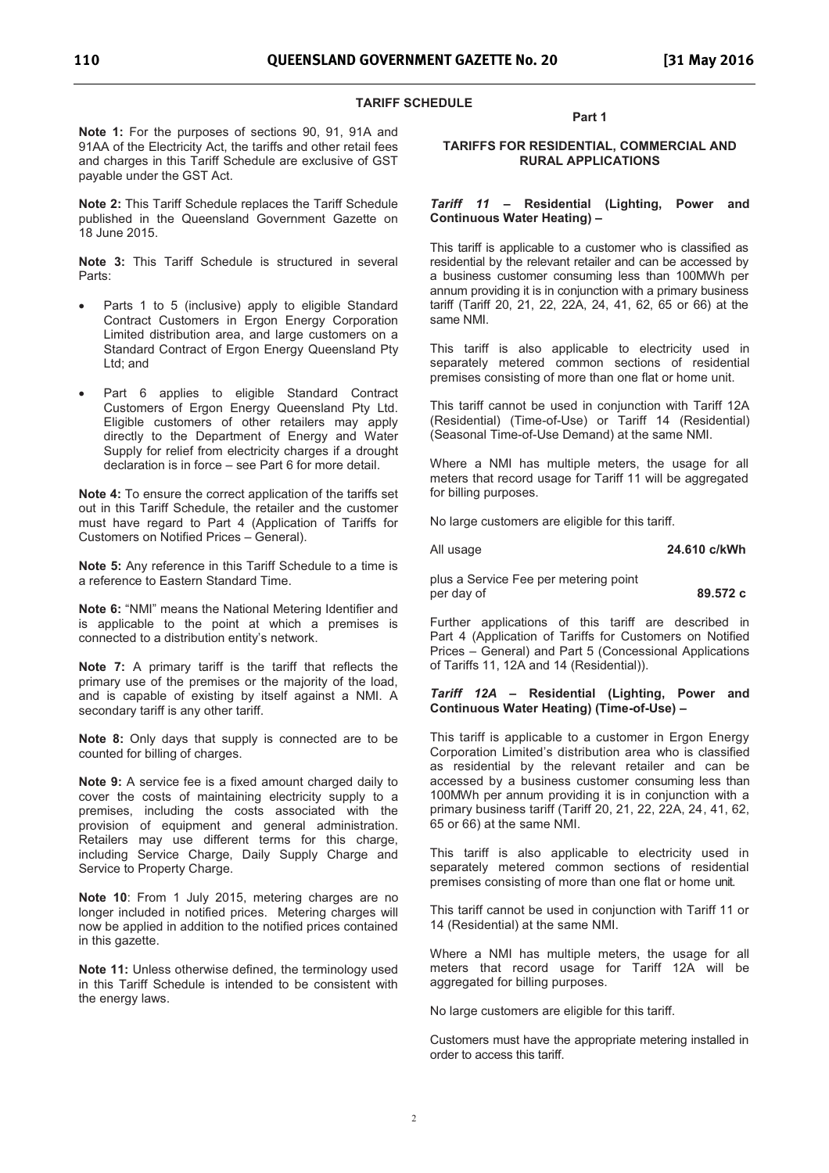#### **TARIFF SCHEDULE**

**Note 1:** For the purposes of sections 90, 91, 91A and 91AA of the Electricity Act, the tariffs and other retail fees and charges in this Tariff Schedule are exclusive of GST payable under the GST Act.

**Note 2:** This Tariff Schedule replaces the Tariff Schedule published in the Queensland Government Gazette on 18 June 2015.

**Note 3:** This Tariff Schedule is structured in several Parts:

- Parts 1 to 5 (inclusive) apply to eligible Standard Contract Customers in Ergon Energy Corporation Limited distribution area, and large customers on a Standard Contract of Ergon Energy Queensland Pty Ltd; and
- Part 6 applies to eligible Standard Contract Customers of Ergon Energy Queensland Pty Ltd. Eligible customers of other retailers may apply directly to the Department of Energy and Water Supply for relief from electricity charges if a drought declaration is in force - see Part 6 for more detail.

**Note 4:** To ensure the correct application of the tariffs set out in this Tariff Schedule, the retailer and the customer must have regard to Part 4 (Application of Tariffs for Customers on Notified Prices - General).

**Note 5:** Any reference in this Tariff Schedule to a time is a reference to Eastern Standard Time.

**Note 6: "NMI" means the National Metering Identifier and** is applicable to the point at which a premises is connected to a distribution entity's network.

**Note 7:** A primary tariff is the tariff that reflects the primary use of the premises or the majority of the load, and is capable of existing by itself against a NMI. A secondary tariff is any other tariff.

**Note 8:** Only days that supply is connected are to be counted for billing of charges.

**Note 9:** A service fee is a fixed amount charged daily to cover the costs of maintaining electricity supply to a premises, including the costs associated with the provision of equipment and general administration. Retailers may use different terms for this charge, including Service Charge, Daily Supply Charge and Service to Property Charge.

**Note 10**: From 1 July 2015, metering charges are no longer included in notified prices. Metering charges will now be applied in addition to the notified prices contained in this gazette.

**Note 11:** Unless otherwise defined, the terminology used in this Tariff Schedule is intended to be consistent with the energy laws.

#### **Part 1**

#### **TARIFFS FOR RESIDENTIAL, COMMERCIAL AND RURAL APPLICATIONS**

#### *Tariff 11*  **Residential (Lighting, Power and Continuous Water Heating)**

This tariff is applicable to a customer who is classified as residential by the relevant retailer and can be accessed by a business customer consuming less than 100MWh per annum providing it is in conjunction with a primary business tariff (Tariff 20, 21, 22, 22A, 24, 41, 62, 65 or 66) at the same NMI.

This tariff is also applicable to electricity used in separately metered common sections of residential premises consisting of more than one flat or home unit.

This tariff cannot be used in conjunction with Tariff 12A (Residential) (Time-of-Use) or Tariff 14 (Residential) (Seasonal Time-of-Use Demand) at the same NMI.

Where a NMI has multiple meters, the usage for all meters that record usage for Tariff 11 will be aggregated for billing purposes.

No large customers are eligible for this tariff.

All usage **24.610 c/kWh** 

plus a Service Fee per metering point per day of **89.572 c**

Further applications of this tariff are described in Part 4 (Application of Tariffs for Customers on Notified Prices – General) and Part 5 (Concessional Applications of Tariffs 11, 12A and 14 (Residential)).

#### *Tariff 12A*  **Residential (Lighting, Power and Continuous Water Heating) (Time-of-Use)**

This tariff is applicable to a customer in Ergon Energy Corporation Limited's distribution area who is classified as residential by the relevant retailer and can be accessed by a business customer consuming less than 100MWh per annum providing it is in conjunction with a primary business tariff (Tariff 20, 21, 22, 22A, 24, 41, 62, 65 or 66) at the same NMI.

This tariff is also applicable to electricity used in separately metered common sections of residential premises consisting of more than one flat or home unit.

This tariff cannot be used in conjunction with Tariff 11 or 14 (Residential) at the same NMI.

Where a NMI has multiple meters, the usage for all meters that record usage for Tariff 12A will be aggregated for billing purposes.

No large customers are eligible for this tariff.

Customers must have the appropriate metering installed in order to access this tariff.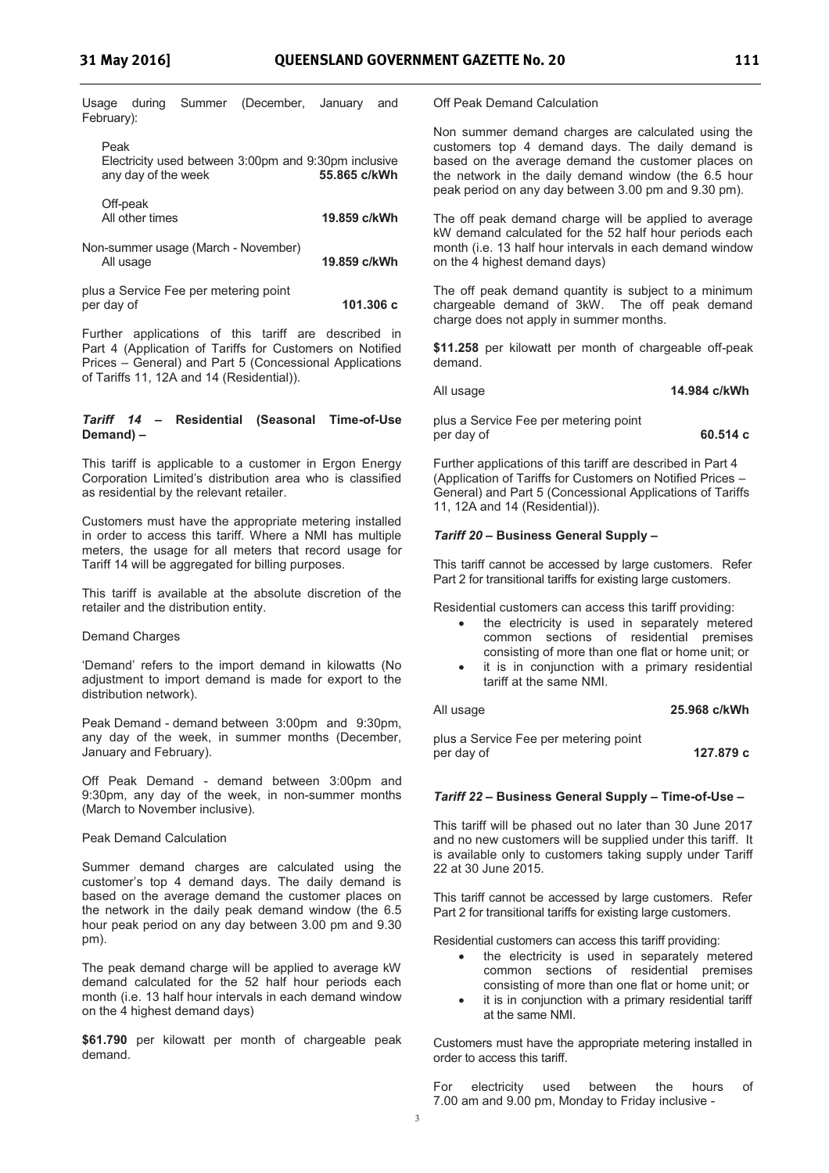|            |  | Usage during Summer (December, January and |  |
|------------|--|--------------------------------------------|--|
| February): |  |                                            |  |

| Peak                                                 |  |              |
|------------------------------------------------------|--|--------------|
| Electricity used between 3:00pm and 9:30pm inclusive |  |              |
| any day of the week                                  |  | 55.865 c/kWh |

| Off-peak<br>All other times                         | 19.859 c/kWh |
|-----------------------------------------------------|--------------|
| Non-summer usage (March - November)<br>All usage    | 19.859 c/kWh |
| plus a Service Fee per metering point<br>per day of | 101.306 c    |

Further applications of this tariff are described in Part 4 (Application of Tariffs for Customers on Notified Prices - General) and Part 5 (Concessional Applications of Tariffs 11, 12A and 14 (Residential)).

#### *Tariff 14*  **Residential (Seasonal Time-of-Use Demand)**

This tariff is applicable to a customer in Ergon Energy Corporation Limited's distribution area who is classified as residential by the relevant retailer.

Customers must have the appropriate metering installed in order to access this tariff. Where a NMI has multiple meters, the usage for all meters that record usage for Tariff 14 will be aggregated for billing purposes.

This tariff is available at the absolute discretion of the retailer and the distribution entity.

#### Demand Charges

'Demand' refers to the import demand in kilowatts (No adjustment to import demand is made for export to the distribution network).

Peak Demand - demand between 3:00pm and 9:30pm, any day of the week, in summer months (December, January and February).

Off Peak Demand - demand between 3:00pm and 9:30pm, any day of the week, in non-summer months (March to November inclusive).

#### Peak Demand Calculation

Summer demand charges are calculated using the customer's top 4 demand days. The daily demand is based on the average demand the customer places on the network in the daily peak demand window (the 6.5 hour peak period on any day between 3.00 pm and 9.30 pm).

The peak demand charge will be applied to average kW demand calculated for the 52 half hour periods each month (i.e. 13 half hour intervals in each demand window on the 4 highest demand days)

**\$61.790** per kilowatt per month of chargeable peak demand.

Off Peak Demand Calculation

Non summer demand charges are calculated using the customers top 4 demand days. The daily demand is based on the average demand the customer places on the network in the daily demand window (the 6.5 hour peak period on any day between 3.00 pm and 9.30 pm).

The off peak demand charge will be applied to average kW demand calculated for the 52 half hour periods each month (i.e. 13 half hour intervals in each demand window on the 4 highest demand days)

The off peak demand quantity is subject to a minimum chargeable demand of 3kW. The off peak demand charge does not apply in summer months.

**\$11.258** per kilowatt per month of chargeable off-peak demand.

All usage **14.984 c/kWh**

plus a Service Fee per metering point per day of **60.514 c**

Further applications of this tariff are described in Part 4 (Application of Tariffs for Customers on Notified Prices General) and Part 5 (Concessional Applications of Tariffs 11, 12A and 14 (Residential)).

#### *Tariff 20*  **Business General Supply**

This tariff cannot be accessed by large customers. Refer Part 2 for transitional tariffs for existing large customers.

Residential customers can access this tariff providing:

- the electricity is used in separately metered common sections of residential premises consisting of more than one flat or home unit; or
- it is in conjunction with a primary residential tariff at the same NMI.

#### All usage **25.968 c/kWh**

plus a Service Fee per metering point per day of **127.879 c** 

#### *Tariff 22*  **Business General Supply Time-of-Use**

This tariff will be phased out no later than 30 June 2017 and no new customers will be supplied under this tariff. It is available only to customers taking supply under Tariff 22 at 30 June 2015.

This tariff cannot be accessed by large customers. Refer Part 2 for transitional tariffs for existing large customers.

Residential customers can access this tariff providing:

- the electricity is used in separately metered common sections of residential premises consisting of more than one flat or home unit; or
- it is in conjunction with a primary residential tariff at the same NMI.

Customers must have the appropriate metering installed in order to access this tariff.

For electricity used between the hours of 7.00 am and 9.00 pm, Monday to Friday inclusive -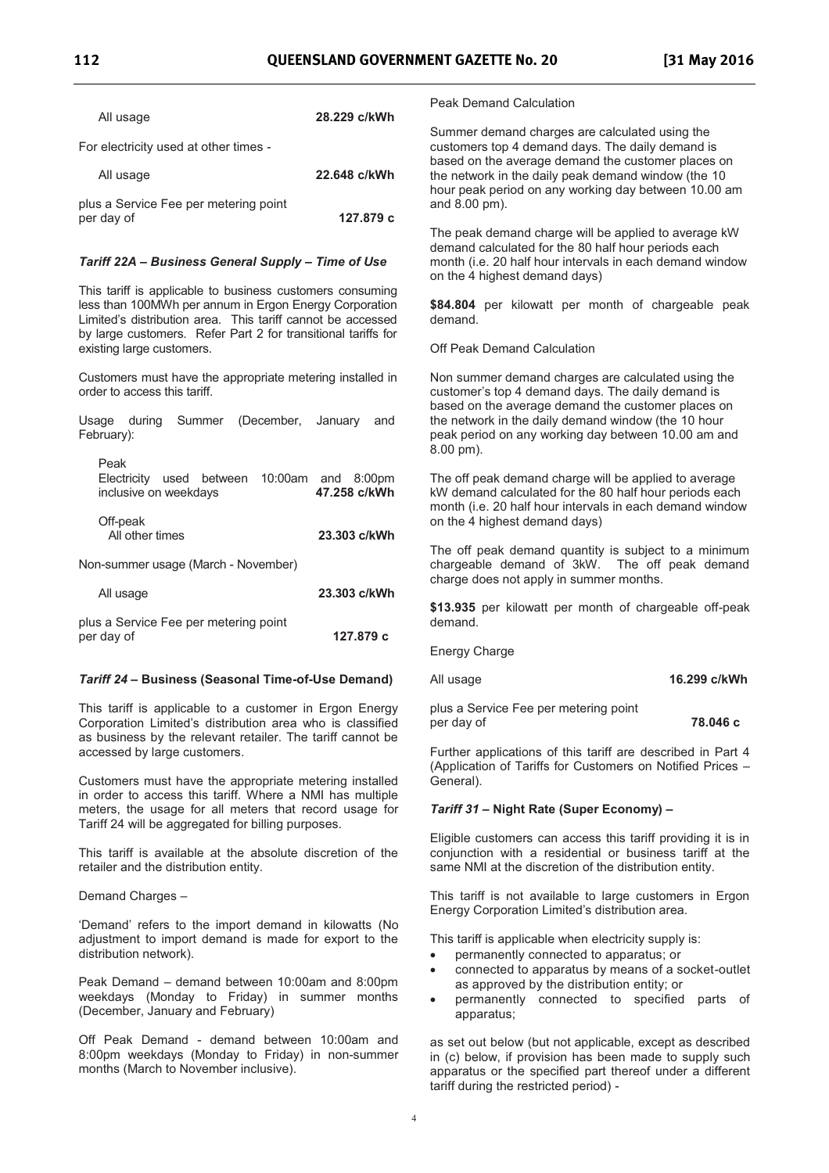| All usage                             | 28.229 c/kWh |
|---------------------------------------|--------------|
| For electricity used at other times - |              |
| All usage                             | 22.648 c/kWh |

| plus a Service Fee per metering point |           |
|---------------------------------------|-----------|
| per day of                            | 127.879 с |

#### *Tariff 22A Business General Supply Time of Use*

This tariff is applicable to business customers consuming less than 100MWh per annum in Ergon Energy Corporation Limited's distribution area. This tariff cannot be accessed by large customers. Refer Part 2 for transitional tariffs for existing large customers.

Customers must have the appropriate metering installed in order to access this tariff.

|            |  | Usage during Summer (December, January and         |  |  |
|------------|--|----------------------------------------------------|--|--|
| February): |  |                                                    |  |  |
|            |  |                                                    |  |  |
| Peak       |  |                                                    |  |  |
|            |  | $Flactrichu$ used between $10:00$ am and $8:00$ nm |  |  |

| LIGUIUI, USGU DGIWGGII IU.UUQIII QIIU U.UUDIII<br>inclusive on weekdays |  | 47.258 c/kWh |
|-------------------------------------------------------------------------|--|--------------|
| Off-peak<br>All other times                                             |  | 23.303 c/kWh |
| Non-summer usage (March - November)                                     |  |              |

| All usage                             | 23.303 c/kWh |
|---------------------------------------|--------------|
| plus a Service Fee per metering point |              |
| per day of                            | 127.879 с    |

#### *Tariff 24*  **Business (Seasonal Time-of-Use Demand)**

This tariff is applicable to a customer in Ergon Energy Corporation Limited's distribution area who is classified as business by the relevant retailer. The tariff cannot be accessed by large customers.

Customers must have the appropriate metering installed in order to access this tariff. Where a NMI has multiple meters, the usage for all meters that record usage for Tariff 24 will be aggregated for billing purposes.

This tariff is available at the absolute discretion of the retailer and the distribution entity.

Demand Charges

'Demand' refers to the import demand in kilowatts (No adjustment to import demand is made for export to the distribution network).

Peak Demand - demand between 10:00am and 8:00pm weekdays (Monday to Friday) in summer months (December, January and February)

Off Peak Demand - demand between 10:00am and 8:00pm weekdays (Monday to Friday) in non-summer months (March to November inclusive).

Peak Demand Calculation

Summer demand charges are calculated using the customers top 4 demand days. The daily demand is based on the average demand the customer places on the network in the daily peak demand window (the 10 hour peak period on any working day between 10.00 am and 8.00 pm).

The peak demand charge will be applied to average kW demand calculated for the 80 half hour periods each month (i.e. 20 half hour intervals in each demand window on the 4 highest demand days)

**\$84.804** per kilowatt per month of chargeable peak demand.

Off Peak Demand Calculation

Non summer demand charges are calculated using the customer's top 4 demand days. The daily demand is based on the average demand the customer places on the network in the daily demand window (the 10 hour peak period on any working day between 10.00 am and 8.00 pm).

The off peak demand charge will be applied to average kW demand calculated for the 80 half hour periods each month (i.e. 20 half hour intervals in each demand window on the 4 highest demand days)

The off peak demand quantity is subject to a minimum chargeable demand of 3kW. The off peak demand charge does not apply in summer months.

**\$13.935** per kilowatt per month of chargeable off-peak demand.

Energy Charge

All usage **16.299 c/kWh**

plus a Service Fee per metering point per day of **78.046 c**

Further applications of this tariff are described in Part 4 (Application of Tariffs for Customers on Notified Prices General).

#### *Tariff 31*  **Night Rate (Super Economy)**

Eligible customers can access this tariff providing it is in conjunction with a residential or business tariff at the same NMI at the discretion of the distribution entity.

This tariff is not available to large customers in Ergon Energy Corporation Limited's distribution area.

This tariff is applicable when electricity supply is:

- · permanently connected to apparatus; or
- · connected to apparatus by means of a socket-outlet as approved by the distribution entity; or
- · permanently connected to specified parts of apparatus;

as set out below (but not applicable, except as described in (c) below, if provision has been made to supply such apparatus or the specified part thereof under a different tariff during the restricted period) -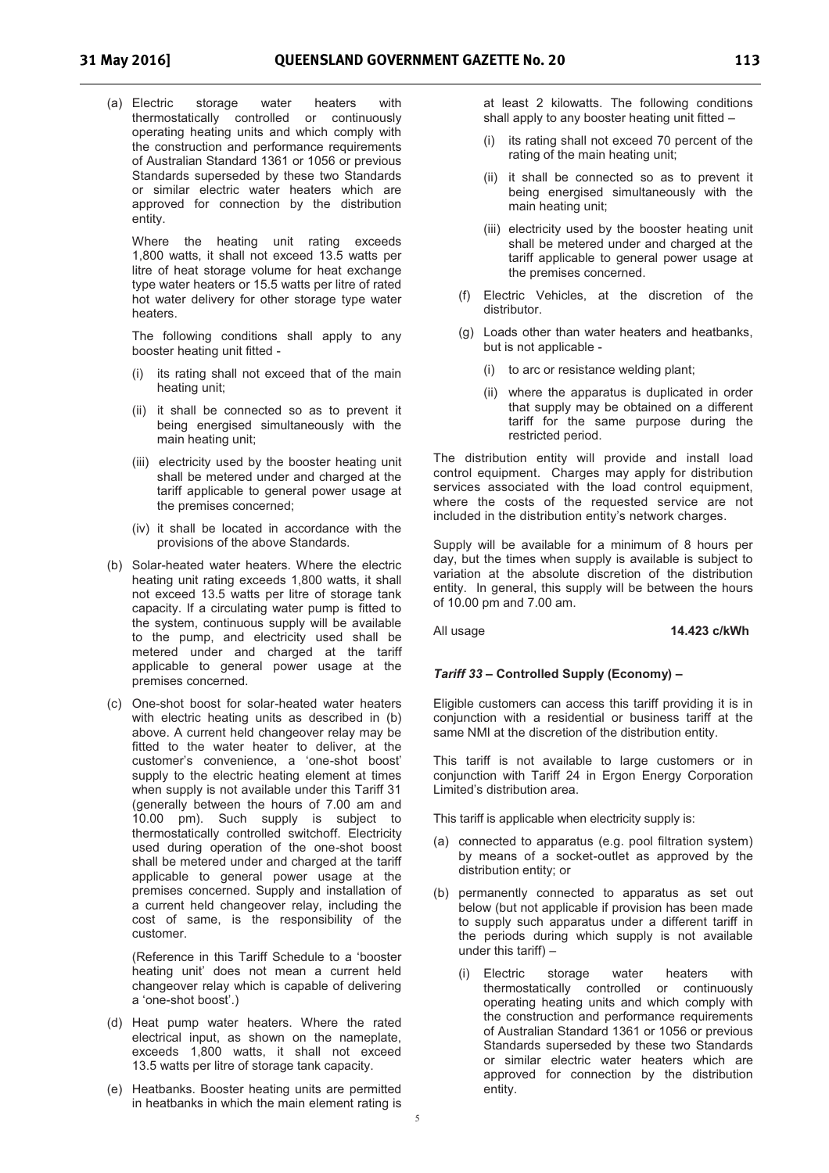(a) Electric storage water heaters with thermostatically controlled or continuously operating heating units and which comply with the construction and performance requirements of Australian Standard 1361 or 1056 or previous Standards superseded by these two Standards or similar electric water heaters which are approved for connection by the distribution entity.

Where the heating unit rating exceeds 1,800 watts, it shall not exceed 13.5 watts per litre of heat storage volume for heat exchange type water heaters or 15.5 watts per litre of rated hot water delivery for other storage type water heaters.

The following conditions shall apply to any booster heating unit fitted -

- (i) its rating shall not exceed that of the main heating unit;
- (ii) it shall be connected so as to prevent it being energised simultaneously with the main heating unit;
- (iii) electricity used by the booster heating unit shall be metered under and charged at the tariff applicable to general power usage at the premises concerned;
- (iv) it shall be located in accordance with the provisions of the above Standards.
- (b) Solar-heated water heaters. Where the electric heating unit rating exceeds 1,800 watts, it shall not exceed 13.5 watts per litre of storage tank capacity. If a circulating water pump is fitted to the system, continuous supply will be available to the pump, and electricity used shall be metered under and charged at the tariff applicable to general power usage at the premises concerned.
- (c) One-shot boost for solar-heated water heaters with electric heating units as described in (b) above. A current held changeover relay may be fitted to the water heater to deliver, at the customer's convenience, a 'one-shot boost' supply to the electric heating element at times when supply is not available under this Tariff 31 (generally between the hours of 7.00 am and 10.00 pm). Such supply is subject to thermostatically controlled switchoff. Electricity used during operation of the one-shot boost shall be metered under and charged at the tariff applicable to general power usage at the premises concerned. Supply and installation of a current held changeover relay, including the cost of same, is the responsibility of the customer.

(Reference in this Tariff Schedule to a 'booster heating unit' does not mean a current held changeover relay which is capable of delivering a 'one-shot boost'.)

- (d) Heat pump water heaters. Where the rated electrical input, as shown on the nameplate, exceeds 1,800 watts, it shall not exceed 13.5 watts per litre of storage tank capacity.
- (e) Heatbanks. Booster heating units are permitted in heatbanks in which the main element rating is

at least 2 kilowatts. The following conditions shall apply to any booster heating unit fitted

- (i) its rating shall not exceed 70 percent of the rating of the main heating unit;
- (ii) it shall be connected so as to prevent it being energised simultaneously with the main heating unit;
- (iii) electricity used by the booster heating unit shall be metered under and charged at the tariff applicable to general power usage at the premises concerned.
- (f) Electric Vehicles, at the discretion of the distributor.
- (g) Loads other than water heaters and heatbanks, but is not applicable -
	- (i) to arc or resistance welding plant;
	- (ii) where the apparatus is duplicated in order that supply may be obtained on a different tariff for the same purpose during the restricted period.

The distribution entity will provide and install load control equipment. Charges may apply for distribution services associated with the load control equipment, where the costs of the requested service are not included in the distribution entity's network charges.

Supply will be available for a minimum of 8 hours per day, but the times when supply is available is subject to variation at the absolute discretion of the distribution entity. In general, this supply will be between the hours of 10.00 pm and 7.00 am.

#### All usage **14.423 c/kWh**

#### *Tariff 33*  **Controlled Supply (Economy)**

Eligible customers can access this tariff providing it is in conjunction with a residential or business tariff at the same NMI at the discretion of the distribution entity.

This tariff is not available to large customers or in conjunction with Tariff 24 in Ergon Energy Corporation Limited's distribution area.

This tariff is applicable when electricity supply is:

- (a) connected to apparatus (e.g. pool filtration system) by means of a socket-outlet as approved by the distribution entity; or
- (b) permanently connected to apparatus as set out below (but not applicable if provision has been made to supply such apparatus under a different tariff in the periods during which supply is not available under this tariff)
	- (i) Electric storage water heaters with thermostatically controlled or continuously operating heating units and which comply with the construction and performance requirements of Australian Standard 1361 or 1056 or previous Standards superseded by these two Standards or similar electric water heaters which are approved for connection by the distribution entity.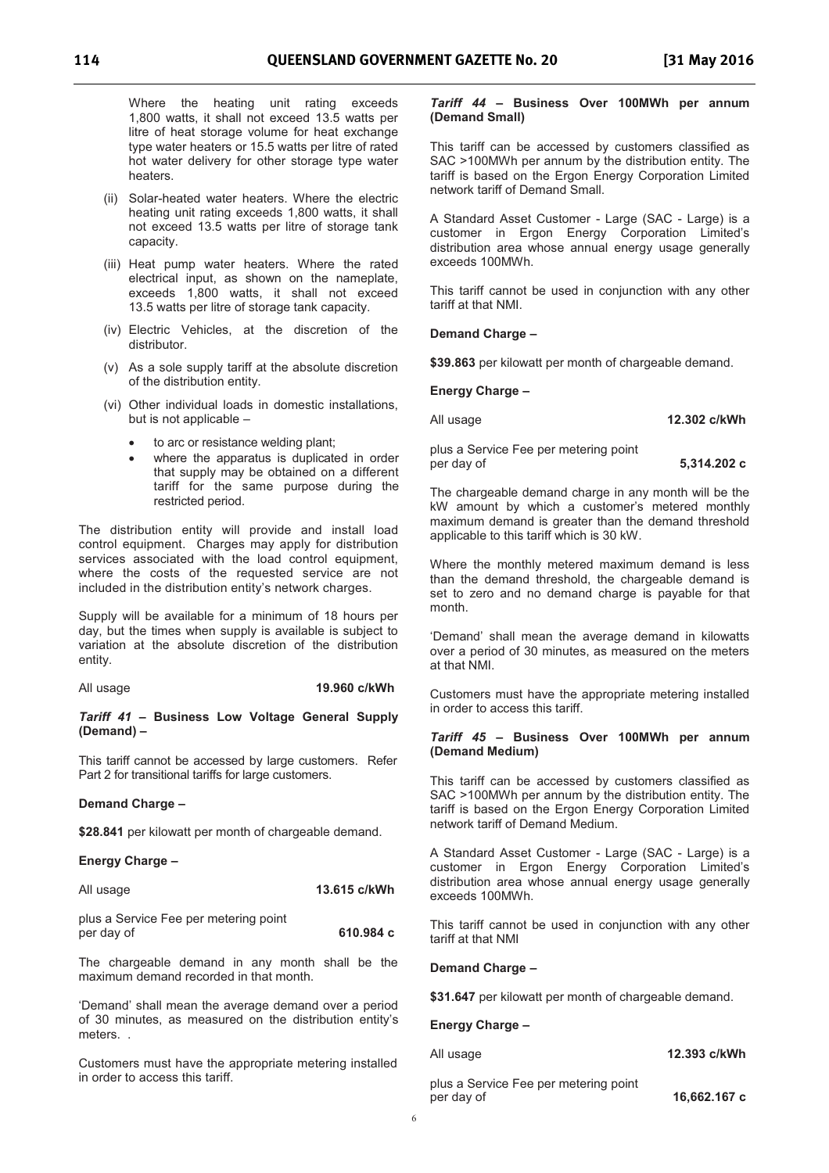Where the heating unit rating exceeds 1,800 watts, it shall not exceed 13.5 watts per litre of heat storage volume for heat exchange type water heaters or 15.5 watts per litre of rated hot water delivery for other storage type water heaters.

- (ii) Solar-heated water heaters. Where the electric heating unit rating exceeds 1,800 watts, it shall not exceed 13.5 watts per litre of storage tank capacity.
- (iii) Heat pump water heaters. Where the rated electrical input, as shown on the nameplate, exceeds 1,800 watts, it shall not exceed 13.5 watts per litre of storage tank capacity.
- (iv) Electric Vehicles, at the discretion of the distributor.
- (v) As a sole supply tariff at the absolute discretion of the distribution entity.
- (vi) Other individual loads in domestic installations, but is not applicable
	- to arc or resistance welding plant;
	- where the apparatus is duplicated in order that supply may be obtained on a different tariff for the same purpose during the restricted period.

The distribution entity will provide and install load control equipment. Charges may apply for distribution services associated with the load control equipment, where the costs of the requested service are not included in the distribution entity's network charges.

Supply will be available for a minimum of 18 hours per day, but the times when supply is available is subject to variation at the absolute discretion of the distribution entity.

All usage **19.960 c/kWh** 

#### *Tariff 41*  **Business Low Voltage General Supply (Demand)**

This tariff cannot be accessed by large customers. Refer Part 2 for transitional tariffs for large customers.

#### **Demand Charge**

\$28.841 per kilowatt per month of chargeable demand.

#### **Energy Charge**

| All usage | 13.615 c/kWh |
|-----------|--------------|
|-----------|--------------|

plus a Service Fee per metering point per day of **610.984 c** 

The chargeable demand in any month shall be the maximum demand recorded in that month.

'Demand' shall mean the average demand over a period of 30 minutes, as measured on the distribution entity's meters. .

Customers must have the appropriate metering installed in order to access this tariff.

#### *Tariff 44*  **Business Over 100MWh per annum (Demand Small)**

This tariff can be accessed by customers classified as SAC >100MWh per annum by the distribution entity. The tariff is based on the Ergon Energy Corporation Limited network tariff of Demand Small.

A Standard Asset Customer - Large (SAC - Large) is a customer in Ergon Energy Corporation Limited's distribution area whose annual energy usage generally exceeds 100MWh.

This tariff cannot be used in conjunction with any other tariff at that NMI.

#### **Demand Charge**

**\$39.863** per kilowatt per month of chargeable demand.

# **Energy Charge**

All usage **12.302 c/kWh** 

plus a Service Fee per metering point per day of **5,314.202 c** 

The chargeable demand charge in any month will be the kW amount by which a customer's metered monthly maximum demand is greater than the demand threshold applicable to this tariff which is 30 kW.

Where the monthly metered maximum demand is less than the demand threshold, the chargeable demand is set to zero and no demand charge is payable for that month.

'Demand' shall mean the average demand in kilowatts over a period of 30 minutes, as measured on the meters at that NMI.

Customers must have the appropriate metering installed in order to access this tariff.

#### *Tariff 45*  **Business Over 100MWh per annum (Demand Medium)**

This tariff can be accessed by customers classified as SAC >100MWh per annum by the distribution entity. The tariff is based on the Ergon Energy Corporation Limited network tariff of Demand Medium.

A Standard Asset Customer - Large (SAC - Large) is a customer in Ergon Energy Corporation Limited's distribution area whose annual energy usage generally exceeds 100MWh.

This tariff cannot be used in conjunction with any other tariff at that NMI

#### **Demand Charge**

**\$31.647** per kilowatt per month of chargeable demand.

## **Energy Charge**

| All usage                                           | 12.393 c/kWh |
|-----------------------------------------------------|--------------|
| plus a Service Fee per metering point<br>per day of | 16,662.167 c |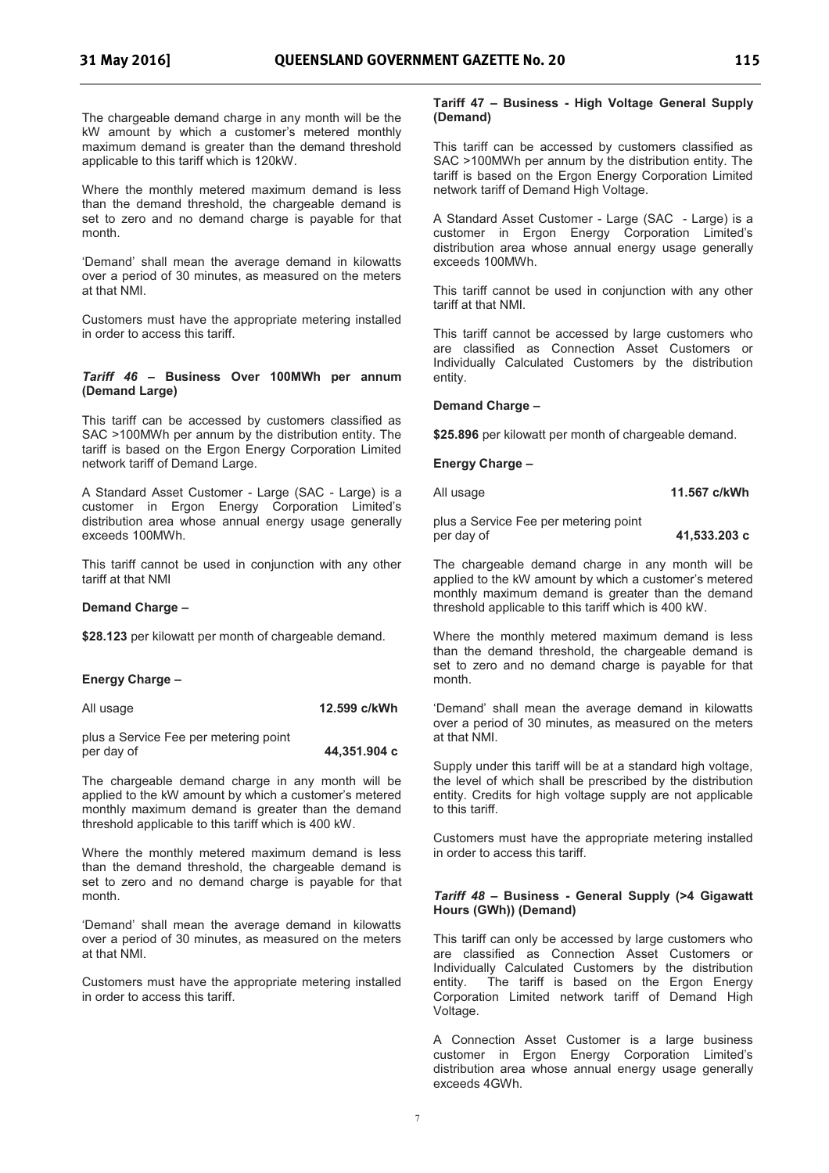The chargeable demand charge in any month will be the kW amount by which a customer's metered monthly maximum demand is greater than the demand threshold applicable to this tariff which is 120kW.

Where the monthly metered maximum demand is less than the demand threshold, the chargeable demand is set to zero and no demand charge is payable for that month.

'Demand' shall mean the average demand in kilowatts over a period of 30 minutes, as measured on the meters at that NMI.

Customers must have the appropriate metering installed in order to access this tariff.

#### *Tariff 46*  **Business Over 100MWh per annum (Demand Large)**

This tariff can be accessed by customers classified as SAC >100MWh per annum by the distribution entity. The tariff is based on the Ergon Energy Corporation Limited network tariff of Demand Large.

A Standard Asset Customer - Large (SAC - Large) is a customer in Ergon Energy Corporation Limited's distribution area whose annual energy usage generally exceeds 100MWh.

This tariff cannot be used in conjunction with any other tariff at that NMI

#### **Demand Charge**

**\$28.123** per kilowatt per month of chargeable demand.

#### **Energy Charge**

| All usage                             | 12.599 c/kWh |
|---------------------------------------|--------------|
| plus a Service Fee per metering point |              |

per day of **44,351.904 c** 

The chargeable demand charge in any month will be applied to the kW amount by which a customer's metered monthly maximum demand is greater than the demand threshold applicable to this tariff which is 400 kW.

Where the monthly metered maximum demand is less than the demand threshold, the chargeable demand is set to zero and no demand charge is payable for that month.

"Demand" shall mean the average demand in kilowatts over a period of 30 minutes, as measured on the meters at that NMI.

Customers must have the appropriate metering installed in order to access this tariff.

#### **Tariff 47 Business - High Voltage General Supply (Demand)**

This tariff can be accessed by customers classified as SAC >100MWh per annum by the distribution entity. The tariff is based on the Ergon Energy Corporation Limited network tariff of Demand High Voltage.

A Standard Asset Customer - Large (SAC - Large) is a customer in Ergon Energy Corporation Limited's distribution area whose annual energy usage generally exceeds 100MWh.

This tariff cannot be used in conjunction with any other tariff at that NMI.

This tariff cannot be accessed by large customers who are classified as Connection Asset Customers or Individually Calculated Customers by the distribution entity.

#### **Demand Charge**

**\$25.896** per kilowatt per month of chargeable demand.

**Energy Charge** 

All usage **11.567 c/kWh** 

plus a Service Fee per metering point per day of **41,533.203 c** 

The chargeable demand charge in any month will be applied to the kW amount by which a customer's metered monthly maximum demand is greater than the demand threshold applicable to this tariff which is 400 kW.

Where the monthly metered maximum demand is less than the demand threshold, the chargeable demand is set to zero and no demand charge is payable for that month.

'Demand' shall mean the average demand in kilowatts over a period of 30 minutes, as measured on the meters at that NMI.

Supply under this tariff will be at a standard high voltage, the level of which shall be prescribed by the distribution entity. Credits for high voltage supply are not applicable to this tariff.

Customers must have the appropriate metering installed in order to access this tariff.

#### *Tariff 48*  **Business - General Supply (>4 Gigawatt Hours (GWh)) (Demand)**

This tariff can only be accessed by large customers who are classified as Connection Asset Customers or Individually Calculated Customers by the distribution entity. The tariff is based on the Ergon Energy Corporation Limited network tariff of Demand High Voltage.

A Connection Asset Customer is a large business customer in Ergon Energy Corporation Limited's distribution area whose annual energy usage generally exceeds 4GWh.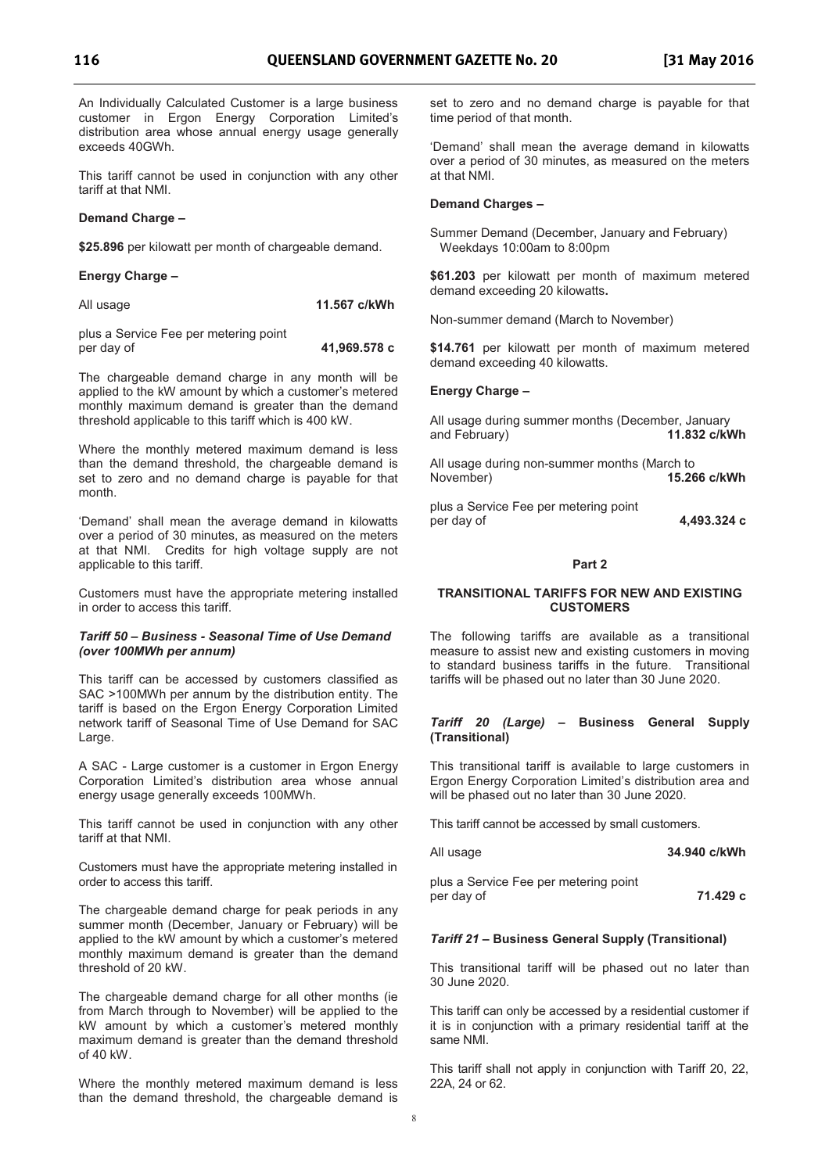An Individually Calculated Customer is a large business customer in Ergon Energy Corporation Limited's distribution area whose annual energy usage generally exceeds 40GWh.

This tariff cannot be used in conjunction with any other tariff at that NMI.

#### **Demand Charge**

**\$25.896** per kilowatt per month of chargeable demand.

#### **Energy Charge**

| 11.567 c/kWh |
|--------------|
|              |

plus a Service Fee per metering point per day of **41,969.578 c** 

The chargeable demand charge in any month will be applied to the kW amount by which a customer's metered monthly maximum demand is greater than the demand threshold applicable to this tariff which is 400 kW.

Where the monthly metered maximum demand is less than the demand threshold, the chargeable demand is set to zero and no demand charge is payable for that month.

'Demand' shall mean the average demand in kilowatts over a period of 30 minutes, as measured on the meters at that NMI. Credits for high voltage supply are not applicable to this tariff.

Customers must have the appropriate metering installed in order to access this tariff.

#### *Tariff 50 Business - Seasonal Time of Use Demand (over 100MWh per annum)*

This tariff can be accessed by customers classified as SAC >100MWh per annum by the distribution entity. The tariff is based on the Ergon Energy Corporation Limited network tariff of Seasonal Time of Use Demand for SAC Large.

A SAC - Large customer is a customer in Ergon Energy Corporation Limited's distribution area whose annual energy usage generally exceeds 100MWh.

This tariff cannot be used in conjunction with any other tariff at that NMI.

Customers must have the appropriate metering installed in order to access this tariff.

The chargeable demand charge for peak periods in any summer month (December, January or February) will be applied to the kW amount by which a customer's metered monthly maximum demand is greater than the demand threshold of 20 kW.

The chargeable demand charge for all other months (ie from March through to November) will be applied to the kW amount by which a customer's metered monthly maximum demand is greater than the demand threshold of 40 kW.

Where the monthly metered maximum demand is less than the demand threshold, the chargeable demand is set to zero and no demand charge is payable for that time period of that month.

'Demand' shall mean the average demand in kilowatts over a period of 30 minutes, as measured on the meters at that NMI.

#### **Demand Charges**

Summer Demand (December, January and February) Weekdays 10:00am to 8:00pm

**\$61.203** per kilowatt per month of maximum metered demand exceeding 20 kilowatts**.**

Non-summer demand (March to November)

**\$14.761** per kilowatt per month of maximum metered demand exceeding 40 kilowatts.

#### **Energy Charge**

All usage during summer months (December, January<br>and February) **11.832 c/kV** and February) **11.832 c/kWh** 

All usage during non-summer months (March to November) **15.266 c/kWh**

plus a Service Fee per metering point per day of **4,493.324 c** 

#### **Part 2**

#### **TRANSITIONAL TARIFFS FOR NEW AND EXISTING CUSTOMERS**

The following tariffs are available as a transitional measure to assist new and existing customers in moving to standard business tariffs in the future. Transitional tariffs will be phased out no later than 30 June 2020.

#### *Tariff 20 (Large)*  **Business General Supply (Transitional)**

This transitional tariff is available to large customers in Ergon Energy Corporation Limited's distribution area and will be phased out no later than 30 June 2020.

This tariff cannot be accessed by small customers.

| All usage                             | 34.940 c/kWh |
|---------------------------------------|--------------|
| plus a Service Fee per metering point |              |

per day of **71.429 c**

### *Tariff 21*  **Business General Supply (Transitional)**

This transitional tariff will be phased out no later than 30 June 2020.

This tariff can only be accessed by a residential customer if it is in conjunction with a primary residential tariff at the same NMI.

This tariff shall not apply in conjunction with Tariff 20, 22, 22A, 24 or 62.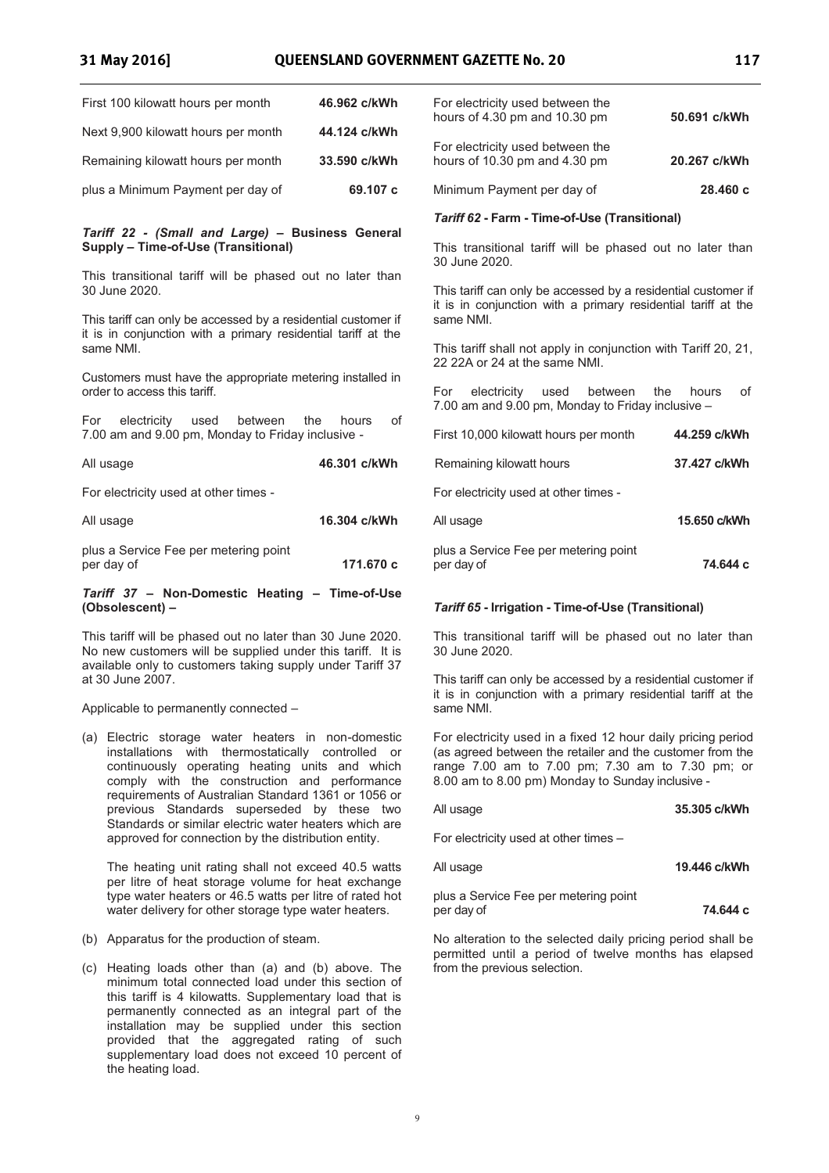| First 100 kilowatt hours per month  | 46.962 c/kWh |
|-------------------------------------|--------------|
| Next 9,900 kilowatt hours per month | 44.124 c/kWh |
| Remaining kilowatt hours per month  | 33.590 c/kWh |
| plus a Minimum Payment per day of   | 69.107 c     |

#### *Tariff 22 - (Small and Large)*  **Business General Supply Time-of-Use (Transitional)**

This transitional tariff will be phased out no later than 30 June 2020.

This tariff can only be accessed by a residential customer if it is in conjunction with a primary residential tariff at the same NMI.

Customers must have the appropriate metering installed in order to access this tariff.

| For                                               | electricity used between the hours |  |  |  |  | of |
|---------------------------------------------------|------------------------------------|--|--|--|--|----|
| 7.00 am and 9.00 pm, Monday to Friday inclusive - |                                    |  |  |  |  |    |

All usage **46.301 c/kWh**

For electricity used at other times -

| 16.304 c/kWh |
|--------------|
|              |

plus a Service Fee per metering point per day of **171.670 c** 

#### *Tariff 37*  **Non-Domestic Heating Time-of-Use (Obsolescent)**

This tariff will be phased out no later than 30 June 2020. No new customers will be supplied under this tariff. It is available only to customers taking supply under Tariff 37 at 30 June 2007.

Applicable to permanently connected

(a) Electric storage water heaters in non-domestic installations with thermostatically controlled or continuously operating heating units and which comply with the construction and performance requirements of Australian Standard 1361 or 1056 or previous Standards superseded by these two Standards or similar electric water heaters which are approved for connection by the distribution entity.

The heating unit rating shall not exceed 40.5 watts per litre of heat storage volume for heat exchange type water heaters or 46.5 watts per litre of rated hot water delivery for other storage type water heaters.

- (b) Apparatus for the production of steam.
- (c) Heating loads other than (a) and (b) above. The minimum total connected load under this section of this tariff is 4 kilowatts. Supplementary load that is permanently connected as an integral part of the installation may be supplied under this section provided that the aggregated rating of such supplementary load does not exceed 10 percent of the heating load.

| 50.691 c/kWh |
|--------------|
| 20.267 c/kWh |
| 28,460 c     |
|              |

#### *Tariff 62* **- Farm - Time-of-Use (Transitional)**

This transitional tariff will be phased out no later than 30 June 2020.

This tariff can only be accessed by a residential customer if it is in conjunction with a primary residential tariff at the same NMI.

This tariff shall not apply in conjunction with Tariff 20, 21, 22 22A or 24 at the same NMI.

For electricity used between the hours of 7.00 am and 9.00 pm, Monday to Friday inclusive

| First 10,000 kilowatt hours per month | 44.259 c/kWh |
|---------------------------------------|--------------|
| Remaining kilowatt hours              | 37.427 c/kWh |
| For electricity used at other times - |              |
| All usage                             | 15.650 c/kWh |
| plus a Service Fee per metering point |              |

per day of **74.644 c** 

#### *Tariff 65* **- Irrigation - Time-of-Use (Transitional)**

This transitional tariff will be phased out no later than 30 June 2020.

This tariff can only be accessed by a residential customer if it is in conjunction with a primary residential tariff at the same NMI.

For electricity used in a fixed 12 hour daily pricing period (as agreed between the retailer and the customer from the range 7.00 am to 7.00 pm; 7.30 am to 7.30 pm; or 8.00 am to 8.00 pm) Monday to Sunday inclusive -

| All usage                                           | 35.305 c/kWh |
|-----------------------------------------------------|--------------|
| For electricity used at other times -               |              |
| All usage                                           | 19,446 c/kWh |
| plus a Service Fee per metering point<br>per day of | 74.644 с     |

No alteration to the selected daily pricing period shall be permitted until a period of twelve months has elapsed from the previous selection.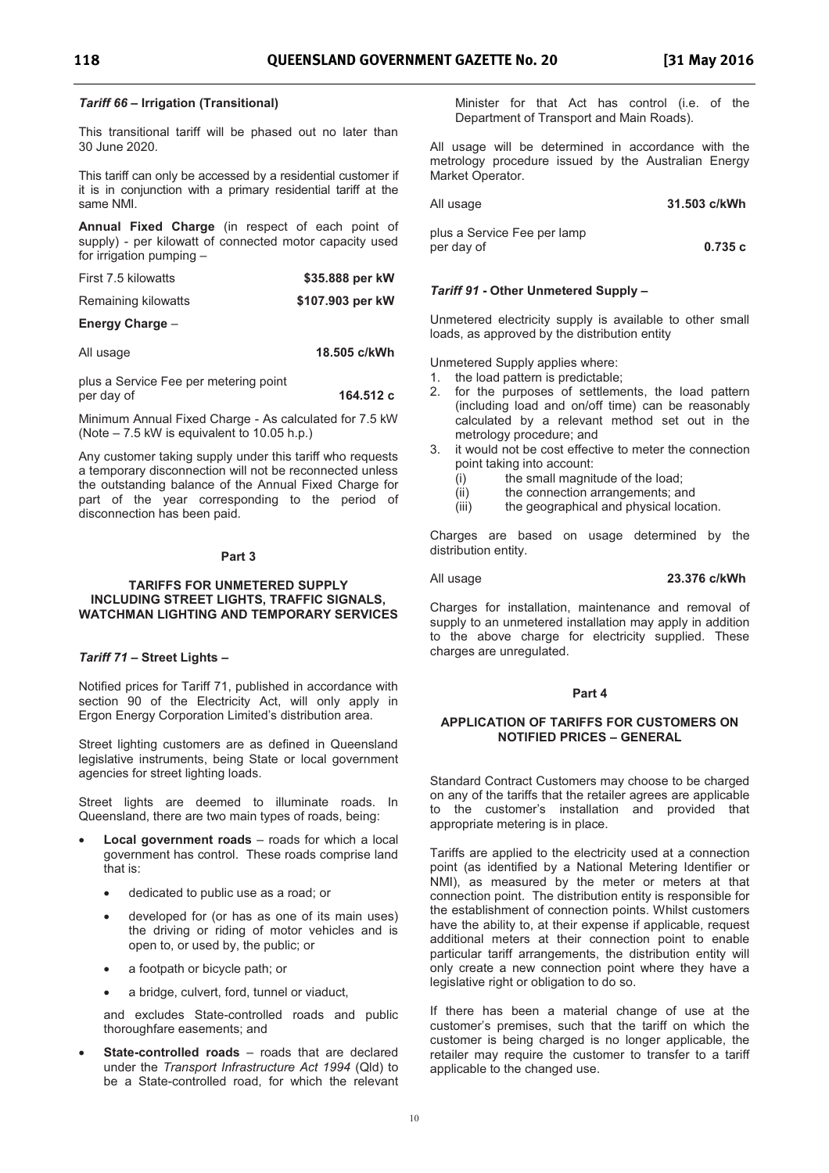#### *Tariff 66*  **Irrigation (Transitional)**

This transitional tariff will be phased out no later than 30 June 2020.

This tariff can only be accessed by a residential customer if it is in conjunction with a primary residential tariff at the same NMI.

**Annual Fixed Charge** (in respect of each point of supply) - per kilowatt of connected motor capacity used for irrigation pumping -

| First 7.5 kilowatts | \$35.888 per kW  |
|---------------------|------------------|
| Remaining kilowatts | \$107.903 per kW |

#### **Energy Charge**

All usage **18.505 c/kWh** 

plus a Service Fee per metering point per day of **164.512 c** 

Minimum Annual Fixed Charge - As calculated for 7.5 kW (Note  $-7.5$  kW is equivalent to 10.05 h.p.)

Any customer taking supply under this tariff who requests a temporary disconnection will not be reconnected unless the outstanding balance of the Annual Fixed Charge for part of the year corresponding to the period of disconnection has been paid.

#### **Part 3**

#### **TARIFFS FOR UNMETERED SUPPLY INCLUDING STREET LIGHTS, TRAFFIC SIGNALS, WATCHMAN LIGHTING AND TEMPORARY SERVICES**

#### *Tariff 71*  **Street Lights**

Notified prices for Tariff 71, published in accordance with section 90 of the Electricity Act, will only apply in Ergon Energy Corporation Limited's distribution area.

Street lighting customers are as defined in Queensland legislative instruments, being State or local government agencies for street lighting loads.

Street lights are deemed to illuminate roads. In Queensland, there are two main types of roads, being:

- **Local government roads** roads for which a local government has control. These roads comprise land that is:
	- · dedicated to public use as a road; or
	- · developed for (or has as one of its main uses) the driving or riding of motor vehicles and is open to, or used by, the public; or
	- a footpath or bicycle path; or
	- a bridge, culvert, ford, tunnel or viaduct,

and excludes State-controlled roads and public thoroughfare easements; and

**State-controlled roads** – roads that are declared under the *Transport Infrastructure Act 1994* (Qld) to be a State-controlled road, for which the relevant Minister for that Act has control (i.e. of the Department of Transport and Main Roads).

All usage will be determined in accordance with the metrology procedure issued by the Australian Energy Market Operator.

| All usage                                 | 31.503 c/kWh |
|-------------------------------------------|--------------|
| plus a Service Fee per lamp<br>per day of | 0.735c       |

#### *Tariff 91* **- Other Unmetered Supply**

Unmetered electricity supply is available to other small loads, as approved by the distribution entity

Unmetered Supply applies where:

- 1. the load pattern is predictable;
- 2. for the purposes of settlements, the load pattern (including load and on/off time) can be reasonably calculated by a relevant method set out in the metrology procedure; and
- 3. it would not be cost effective to meter the connection point taking into account:
	- (i) the small magnitude of the load;
	- (ii) the connection arrangements; and
	- (iii) the geographical and physical location.

Charges are based on usage determined by the distribution entity.

#### All usage **23.376 c/kWh**

Charges for installation, maintenance and removal of supply to an unmetered installation may apply in addition to the above charge for electricity supplied. These charges are unregulated.

#### **Part 4**

#### **APPLICATION OF TARIFFS FOR CUSTOMERS ON NOTIFIED PRICES - GENERAL**

Standard Contract Customers may choose to be charged on any of the tariffs that the retailer agrees are applicable to the customer's installation and provided that appropriate metering is in place.

Tariffs are applied to the electricity used at a connection point (as identified by a National Metering Identifier or NMI), as measured by the meter or meters at that connection point. The distribution entity is responsible for the establishment of connection points. Whilst customers have the ability to, at their expense if applicable, request additional meters at their connection point to enable particular tariff arrangements, the distribution entity will only create a new connection point where they have a legislative right or obligation to do so.

If there has been a material change of use at the customer's premises, such that the tariff on which the customer is being charged is no longer applicable, the retailer may require the customer to transfer to a tariff applicable to the changed use.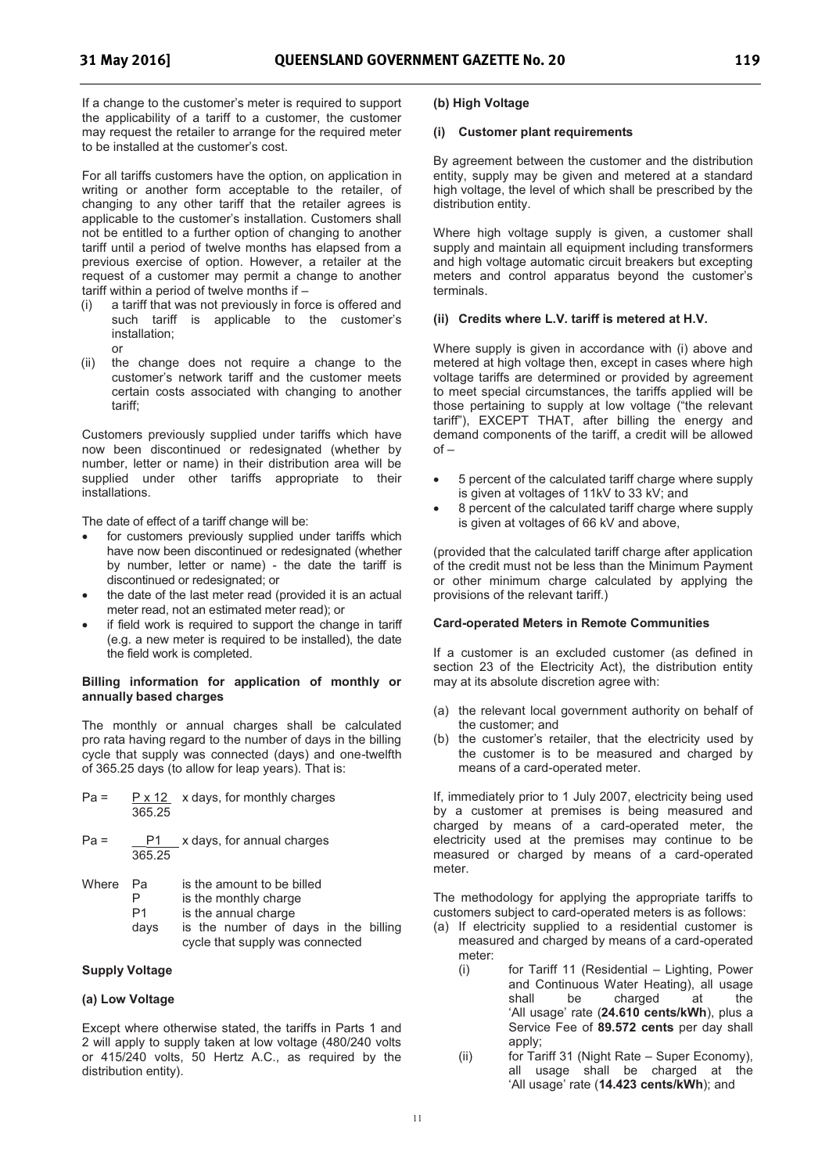If a change to the customer's meter is required to support the applicability of a tariff to a customer, the customer may request the retailer to arrange for the required meter to be installed at the customer's cost.

For all tariffs customers have the option, on application in writing or another form acceptable to the retailer, of changing to any other tariff that the retailer agrees is applicable to the customer's installation. Customers shall not be entitled to a further option of changing to another tariff until a period of twelve months has elapsed from a previous exercise of option. However, a retailer at the request of a customer may permit a change to another tariff within a period of twelve months if

- (i) a tariff that was not previously in force is offered and such tariff is applicable to the customer's installation;
	- or
- (ii) the change does not require a change to the customer's network tariff and the customer meets certain costs associated with changing to another tariff;

Customers previously supplied under tariffs which have now been discontinued or redesignated (whether by number, letter or name) in their distribution area will be supplied under other tariffs appropriate to their installations.

The date of effect of a tariff change will be:

- for customers previously supplied under tariffs which have now been discontinued or redesignated (whether by number, letter or name) - the date the tariff is discontinued or redesignated; or
- the date of the last meter read (provided it is an actual meter read, not an estimated meter read); or
- if field work is required to support the change in tariff (e.g. a new meter is required to be installed), the date the field work is completed.

#### **Billing information for application of monthly or annually based charges**

The monthly or annual charges shall be calculated pro rata having regard to the number of days in the billing cycle that supply was connected (days) and one-twelfth of 365.25 days (to allow for leap years). That is:

| $Pa =$ |        | $P \times 12$ x days, for monthly charges |
|--------|--------|-------------------------------------------|
|        | 365.25 |                                           |

 $Pa =$   $P1$  x days, for annual charges 365.25

| Where Pa |  |  |  | is the amount to be billed |  |
|----------|--|--|--|----------------------------|--|
|          |  |  |  |                            |  |

- P is the monthly charge<br>P1 is the annual charge
- is the annual charge
- days is the number of days in the billing cycle that supply was connected

#### **Supply Voltage**

#### **(a) Low Voltage**

Except where otherwise stated, the tariffs in Parts 1 and 2 will apply to supply taken at low voltage (480/240 volts or 415/240 volts, 50 Hertz A.C., as required by the distribution entity).

#### **(b) High Voltage**

#### **(i) Customer plant requirements**

By agreement between the customer and the distribution entity, supply may be given and metered at a standard high voltage, the level of which shall be prescribed by the distribution entity.

Where high voltage supply is given, a customer shall supply and maintain all equipment including transformers and high voltage automatic circuit breakers but excepting meters and control apparatus beyond the customer's terminals.

#### **(ii) Credits where L.V. tariff is metered at H.V.**

Where supply is given in accordance with (i) above and metered at high voltage then, except in cases where high voltage tariffs are determined or provided by agreement to meet special circumstances, the tariffs applied will be those pertaining to supply at low voltage ("the relevant tariff), EXCEPT THAT, after billing the energy and demand components of the tariff, a credit will be allowed  $of -$ 

- · 5 percent of the calculated tariff charge where supply is given at voltages of 11kV to 33 kV; and
- · 8 percent of the calculated tariff charge where supply is given at voltages of 66 kV and above,

(provided that the calculated tariff charge after application of the credit must not be less than the Minimum Payment or other minimum charge calculated by applying the provisions of the relevant tariff.)

#### **Card-operated Meters in Remote Communities**

If a customer is an excluded customer (as defined in section 23 of the Electricity Act), the distribution entity may at its absolute discretion agree with:

- (a) the relevant local government authority on behalf of the customer; and
- (b) the customer's retailer, that the electricity used by the customer is to be measured and charged by means of a card-operated meter.

If, immediately prior to 1 July 2007, electricity being used by a customer at premises is being measured and charged by means of a card-operated meter, the electricity used at the premises may continue to be measured or charged by means of a card-operated meter.

The methodology for applying the appropriate tariffs to customers subject to card-operated meters is as follows:

- (a) If electricity supplied to a residential customer is measured and charged by means of a card-operated meter:
	- (i) for Tariff 11 (Residential Lighting, Power and Continuous Water Heating), all usage charged at the 'All usage' rate (24.610 cents/kWh), plus a Service Fee of **89.572 cents** per day shall apply;
	- (ii) for Tariff 31 (Night Rate Super Economy), all usage shall be charged at the 'All usage' rate (14.423 cents/kWh); and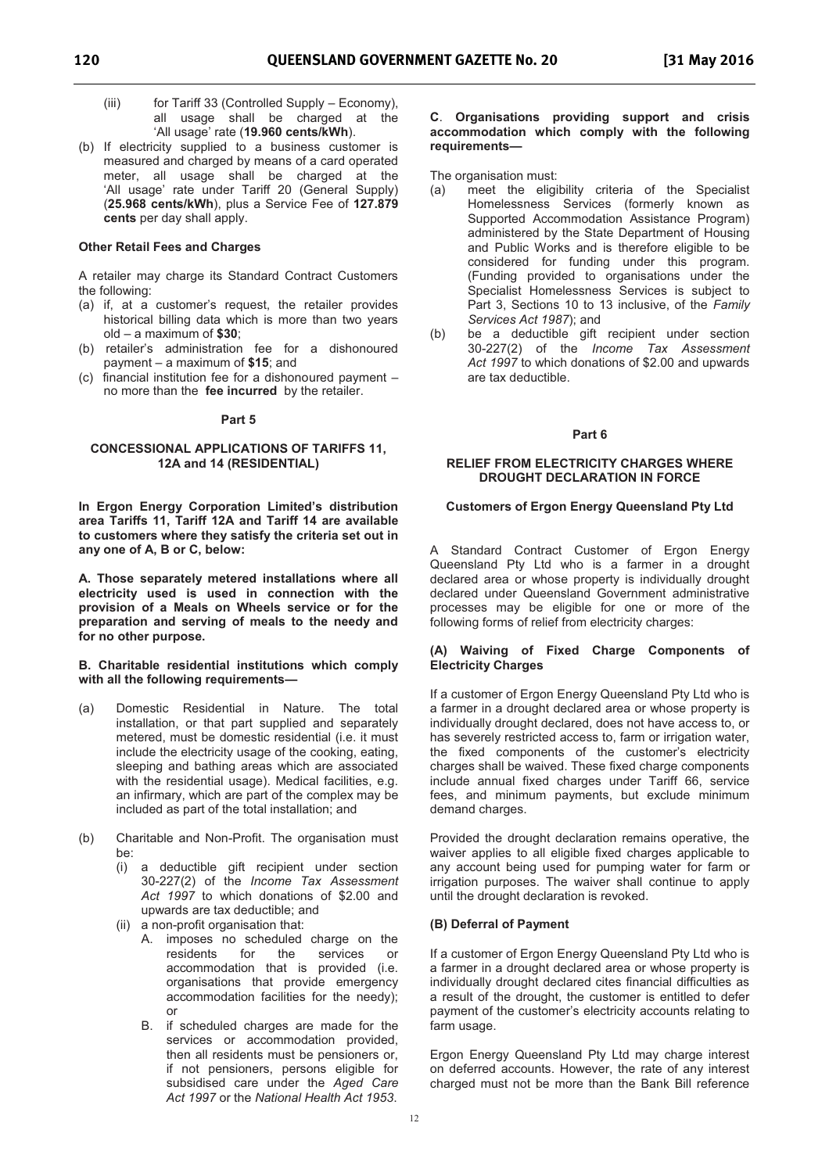- (iii) for Tariff 33 (Controlled Supply  $-$  Economy), all usage shall be charged at the All usage rate (**19.960 cents/kWh**).
- (b) If electricity supplied to a business customer is measured and charged by means of a card operated meter, all usage shall be charged at the 'All usage' rate under Tariff 20 (General Supply) (**25.968 cents/kWh**), plus a Service Fee of **127.879 cents** per day shall apply.

#### **Other Retail Fees and Charges**

A retailer may charge its Standard Contract Customers the following:

- (a) if, at a customer's request, the retailer provides historical billing data which is more than two years  $old - a$  maximum of  $$30$ ;
- (b) retailer's administration fee for a dishonoured payment a maximum of **\$15**; and
- (c) financial institution fee for a dishonoured payment no more than the **fee incurred** by the retailer.

#### **Part 5**

#### **CONCESSIONAL APPLICATIONS OF TARIFFS 11, 12A and 14 (RESIDENTIAL)**

**In Ergon Energy Corporation Limited's distribution area Tariffs 11, Tariff 12A and Tariff 14 are available to customers where they satisfy the criteria set out in any one of A, B or C, below:** 

**A. Those separately metered installations where all electricity used is used in connection with the provision of a Meals on Wheels service or for the preparation and serving of meals to the needy and for no other purpose.** 

#### **B. Charitable residential institutions which comply with all the following requirements**

- (a) Domestic Residential in Nature. The total installation, or that part supplied and separately metered, must be domestic residential (i.e. it must include the electricity usage of the cooking, eating, sleeping and bathing areas which are associated with the residential usage). Medical facilities, e.g. an infirmary, which are part of the complex may be included as part of the total installation; and
- (b) Charitable and Non-Profit. The organisation must be:
	- (i) a deductible gift recipient under section 30-227(2) of the *Income Tax Assessment Act 1997* to which donations of \$2.00 and upwards are tax deductible; and
	- (ii) a non-profit organisation that:
		- A. imposes no scheduled charge on the residents for the services or accommodation that is provided (i.e. organisations that provide emergency accommodation facilities for the needy); or
		- B. if scheduled charges are made for the services or accommodation provided, then all residents must be pensioners or, if not pensioners, persons eligible for subsidised care under the *Aged Care Act 1997* or the *National Health Act 1953*.

#### **C**. **Organisations providing support and crisis accommodation which comply with the following requirements**

The organisation must:

- (a) meet the eligibility criteria of the Specialist Homelessness Services (formerly known as Supported Accommodation Assistance Program) administered by the State Department of Housing and Public Works and is therefore eligible to be considered for funding under this program. (Funding provided to organisations under the Specialist Homelessness Services is subject to Part 3, Sections 10 to 13 inclusive, of the *Family Services Act 1987*); and
- (b) be a deductible gift recipient under section 30-227(2) of the *Income Tax Assessment Act 1997* to which donations of \$2.00 and upwards are tax deductible.

#### **Part 6**

#### **RELIEF FROM ELECTRICITY CHARGES WHERE DROUGHT DECLARATION IN FORCE**

#### **Customers of Ergon Energy Queensland Pty Ltd**

A Standard Contract Customer of Ergon Energy Queensland Pty Ltd who is a farmer in a drought declared area or whose property is individually drought declared under Queensland Government administrative processes may be eligible for one or more of the following forms of relief from electricity charges:

#### **(A) Waiving of Fixed Charge Components of Electricity Charges**

If a customer of Ergon Energy Queensland Pty Ltd who is a farmer in a drought declared area or whose property is individually drought declared, does not have access to, or has severely restricted access to, farm or irrigation water, the fixed components of the customer's electricity charges shall be waived. These fixed charge components include annual fixed charges under Tariff 66, service fees, and minimum payments, but exclude minimum demand charges.

Provided the drought declaration remains operative, the waiver applies to all eligible fixed charges applicable to any account being used for pumping water for farm or irrigation purposes. The waiver shall continue to apply until the drought declaration is revoked.

### **(B) Deferral of Payment**

If a customer of Ergon Energy Queensland Pty Ltd who is a farmer in a drought declared area or whose property is individually drought declared cites financial difficulties as a result of the drought, the customer is entitled to defer payment of the customer's electricity accounts relating to farm usage.

Ergon Energy Queensland Pty Ltd may charge interest on deferred accounts. However, the rate of any interest charged must not be more than the Bank Bill reference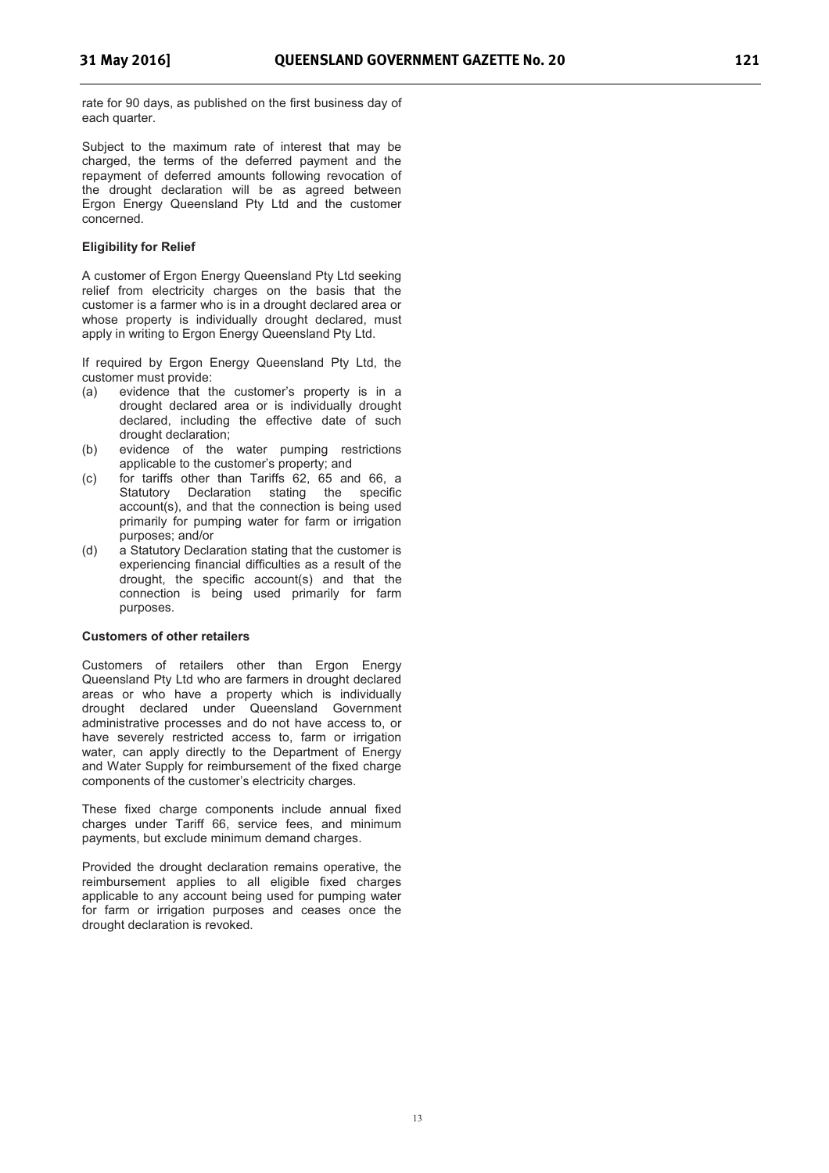rate for 90 days, as published on the first business day of each quarter.

Subject to the maximum rate of interest that may be charged, the terms of the deferred payment and the repayment of deferred amounts following revocation of the drought declaration will be as agreed between Ergon Energy Queensland Pty Ltd and the customer concerned.

#### **Eligibility for Relief**

A customer of Ergon Energy Queensland Pty Ltd seeking relief from electricity charges on the basis that the customer is a farmer who is in a drought declared area or whose property is individually drought declared, must apply in writing to Ergon Energy Queensland Pty Ltd.

If required by Ergon Energy Queensland Pty Ltd, the customer must provide:<br>(a) evidence that the

- evidence that the customer's property is in a drought declared area or is individually drought declared, including the effective date of such drought declaration;
- (b) evidence of the water pumping restrictions applicable to the customer's property; and
- (c) for tariffs other than Tariffs 62, 65 and 66, a Statutory Declaration stating the specific account(s), and that the connection is being used primarily for pumping water for farm or irrigation purposes; and/or
- (d) a Statutory Declaration stating that the customer is experiencing financial difficulties as a result of the drought, the specific account(s) and that the connection is being used primarily for farm purposes.

#### **Customers of other retailers**

Customers of retailers other than Ergon Energy Queensland Pty Ltd who are farmers in drought declared areas or who have a property which is individually drought declared under Queensland Government administrative processes and do not have access to, or have severely restricted access to, farm or irrigation water, can apply directly to the Department of Energy and Water Supply for reimbursement of the fixed charge components of the customer's electricity charges.

These fixed charge components include annual fixed charges under Tariff 66, service fees, and minimum payments, but exclude minimum demand charges.

Provided the drought declaration remains operative, the reimbursement applies to all eligible fixed charges applicable to any account being used for pumping water for farm or irrigation purposes and ceases once the drought declaration is revoked.